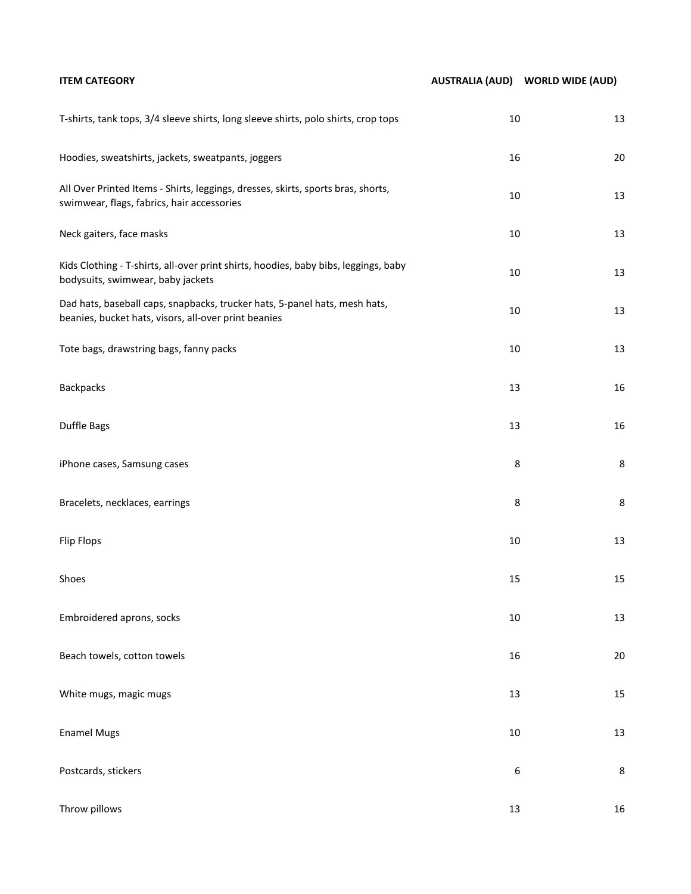| <b>ITEM CATEGORY</b>                                                                                                               |        | AUSTRALIA (AUD) WORLD WIDE (AUD) |
|------------------------------------------------------------------------------------------------------------------------------------|--------|----------------------------------|
| T-shirts, tank tops, 3/4 sleeve shirts, long sleeve shirts, polo shirts, crop tops                                                 | 10     | 13                               |
| Hoodies, sweatshirts, jackets, sweatpants, joggers                                                                                 | 16     | $20\,$                           |
| All Over Printed Items - Shirts, leggings, dresses, skirts, sports bras, shorts,<br>swimwear, flags, fabrics, hair accessories     | 10     | $13\,$                           |
| Neck gaiters, face masks                                                                                                           | 10     | $13\,$                           |
| Kids Clothing - T-shirts, all-over print shirts, hoodies, baby bibs, leggings, baby<br>bodysuits, swimwear, baby jackets           | 10     | $13\,$                           |
| Dad hats, baseball caps, snapbacks, trucker hats, 5-panel hats, mesh hats,<br>beanies, bucket hats, visors, all-over print beanies | $10\,$ | $13\,$                           |
| Tote bags, drawstring bags, fanny packs                                                                                            | $10\,$ | 13                               |
| Backpacks                                                                                                                          | 13     | $16\,$                           |
| Duffle Bags                                                                                                                        | 13     | $16\,$                           |
| iPhone cases, Samsung cases                                                                                                        | 8      | 8                                |
| Bracelets, necklaces, earrings                                                                                                     | 8      | 8                                |
| <b>Flip Flops</b>                                                                                                                  | $10\,$ | $13\,$                           |
| Shoes                                                                                                                              | 15     | 15                               |
| Embroidered aprons, socks                                                                                                          | $10\,$ | 13                               |
| Beach towels, cotton towels                                                                                                        | 16     | $20\,$                           |
| White mugs, magic mugs                                                                                                             | 13     | 15                               |
| <b>Enamel Mugs</b>                                                                                                                 | $10\,$ | 13                               |
| Postcards, stickers                                                                                                                | 6      | 8                                |
| Throw pillows                                                                                                                      | 13     | $16\,$                           |